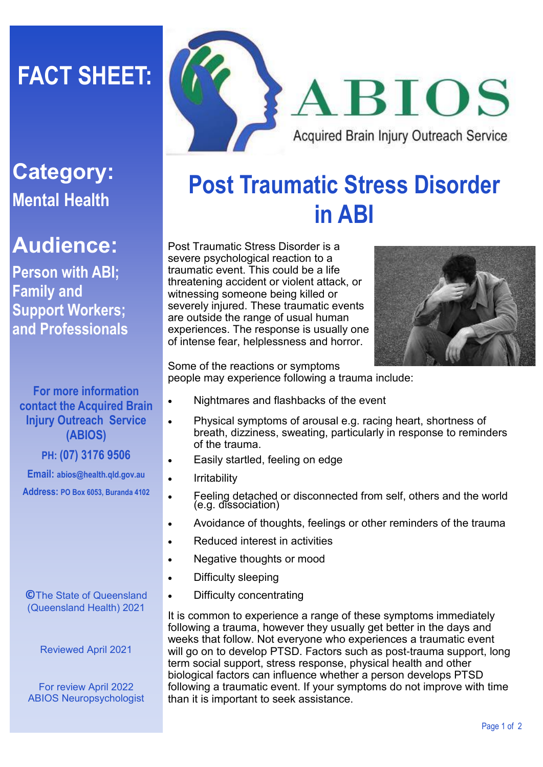# **FACT SHEET:**



### **Category: Mental Health**

### **Audience:**

**Person with ABI; Family and Support Workers; and Professionals**

#### **For more information contact the Acquired Brain Injury Outreach Service (ABIOS)**

#### **PH: (07) 3176 9506**

**Email: abios@health.qld.gov.au Address: PO Box 6053, Buranda 4102**

**©**The State of Queensland (Queensland Health) 2021

Reviewed April 2021

For review April 2022 ABIOS Neuropsychologist

## **Post Traumatic Stress Disorder in ABI**

Post Traumatic Stress Disorder is a severe psychological reaction to a traumatic event. This could be a life threatening accident or violent attack, or witnessing someone being killed or severely injured. These traumatic events are outside the range of usual human experiences. The response is usually one of intense fear, helplessness and horror.



Some of the reactions or symptoms people may experience following a trauma include:

- Nightmares and flashbacks of the event
- Physical symptoms of arousal e.g. racing heart, shortness of breath, dizziness, sweating, particularly in response to reminders of the trauma.
- Easily startled, feeling on edge
- Irritability
- Feeling detached or disconnected from self, others and the world (e.g. dissociation)
- Avoidance of thoughts, feelings or other reminders of the trauma
- Reduced interest in activities
- Negative thoughts or mood
- Difficulty sleeping
- Difficulty concentrating

It is common to experience a range of these symptoms immediately following a trauma, however they usually get better in the days and weeks that follow. Not everyone who experiences a traumatic event will go on to develop PTSD. Factors such as post-trauma support, long term social support, stress response, physical health and other biological factors can influence whether a person develops PTSD following a traumatic event. If your symptoms do not improve with time than it is important to seek assistance.